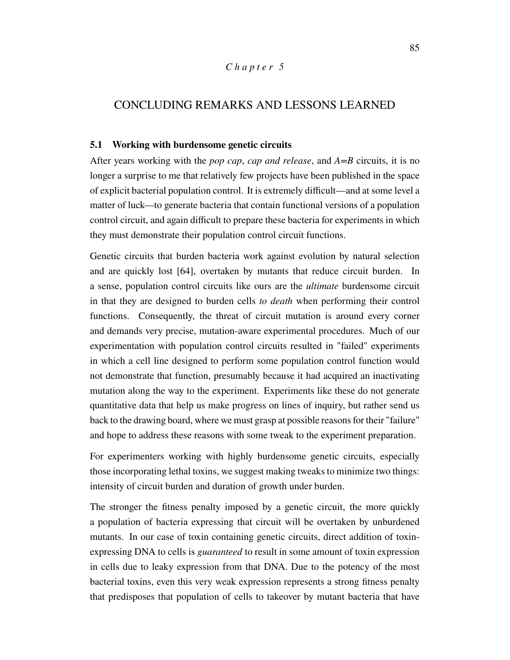## *C h a p t e r 5*

## CONCLUDING REMARKS AND LESSONS LEARNED

## **5.1 Working with burdensome genetic circuits**

After years working with the *pop cap*, *cap and release*, and *A=B* circuits, it is no longer a surprise to me that relatively few projects have been published in the space of explicit bacterial population control. It is extremely difficult—and at some level a matter of luck—to generate bacteria that contain functional versions of a population control circuit, and again difficult to prepare these bacteria for experiments in which they must demonstrate their population control circuit functions.

Genetic circuits that burden bacteria work against evolution by natural selection and are quickly lost [64], overtaken by mutants that reduce circuit burden. In a sense, population control circuits like ours are the *ultimate* burdensome circuit in that they are designed to burden cells *to death* when performing their control functions. Consequently, the threat of circuit mutation is around every corner and demands very precise, mutation-aware experimental procedures. Much of our experimentation with population control circuits resulted in "failed" experiments in which a cell line designed to perform some population control function would not demonstrate that function, presumably because it had acquired an inactivating mutation along the way to the experiment. Experiments like these do not generate quantitative data that help us make progress on lines of inquiry, but rather send us back to the drawing board, where we must grasp at possible reasons for their "failure" and hope to address these reasons with some tweak to the experiment preparation.

For experimenters working with highly burdensome genetic circuits, especially those incorporating lethal toxins, we suggest making tweaks to minimize two things: intensity of circuit burden and duration of growth under burden.

The stronger the fitness penalty imposed by a genetic circuit, the more quickly a population of bacteria expressing that circuit will be overtaken by unburdened mutants. In our case of toxin containing genetic circuits, direct addition of toxinexpressing DNA to cells is *guaranteed* to result in some amount of toxin expression in cells due to leaky expression from that DNA. Due to the potency of the most bacterial toxins, even this very weak expression represents a strong fitness penalty that predisposes that population of cells to takeover by mutant bacteria that have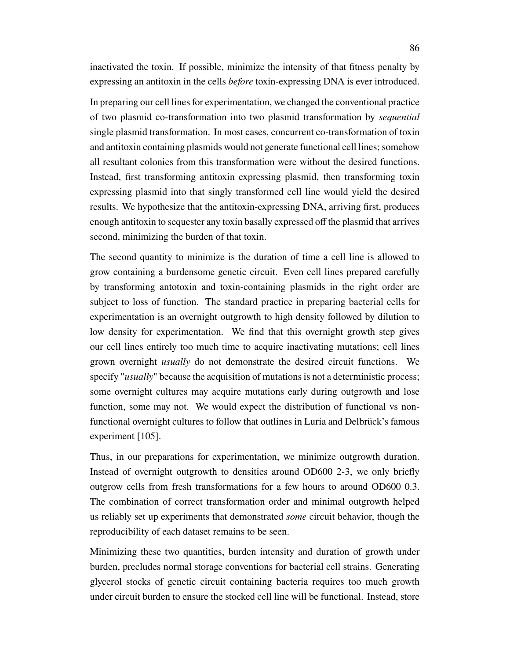inactivated the toxin. If possible, minimize the intensity of that fitness penalty by expressing an antitoxin in the cells *before* toxin-expressing DNA is ever introduced.

In preparing our cell lines for experimentation, we changed the conventional practice of two plasmid co-transformation into two plasmid transformation by *sequential* single plasmid transformation. In most cases, concurrent co-transformation of toxin and antitoxin containing plasmids would not generate functional cell lines; somehow all resultant colonies from this transformation were without the desired functions. Instead, first transforming antitoxin expressing plasmid, then transforming toxin expressing plasmid into that singly transformed cell line would yield the desired results. We hypothesize that the antitoxin-expressing DNA, arriving first, produces enough antitoxin to sequester any toxin basally expressed off the plasmid that arrives second, minimizing the burden of that toxin.

The second quantity to minimize is the duration of time a cell line is allowed to grow containing a burdensome genetic circuit. Even cell lines prepared carefully by transforming antotoxin and toxin-containing plasmids in the right order are subject to loss of function. The standard practice in preparing bacterial cells for experimentation is an overnight outgrowth to high density followed by dilution to low density for experimentation. We find that this overnight growth step gives our cell lines entirely too much time to acquire inactivating mutations; cell lines grown overnight *usually* do not demonstrate the desired circuit functions. We specify "*usually*" because the acquisition of mutations is not a deterministic process; some overnight cultures may acquire mutations early during outgrowth and lose function, some may not. We would expect the distribution of functional vs nonfunctional overnight cultures to follow that outlines in Luria and Delbrück's famous experiment [105].

Thus, in our preparations for experimentation, we minimize outgrowth duration. Instead of overnight outgrowth to densities around OD600 2-3, we only briefly outgrow cells from fresh transformations for a few hours to around OD600 0.3. The combination of correct transformation order and minimal outgrowth helped us reliably set up experiments that demonstrated *some* circuit behavior, though the reproducibility of each dataset remains to be seen.

Minimizing these two quantities, burden intensity and duration of growth under burden, precludes normal storage conventions for bacterial cell strains. Generating glycerol stocks of genetic circuit containing bacteria requires too much growth under circuit burden to ensure the stocked cell line will be functional. Instead, store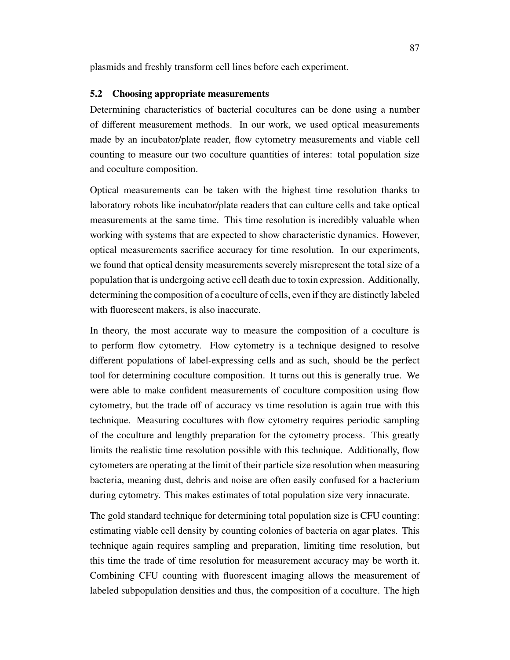plasmids and freshly transform cell lines before each experiment.

## **5.2 Choosing appropriate measurements**

Determining characteristics of bacterial cocultures can be done using a number of different measurement methods. In our work, we used optical measurements made by an incubator/plate reader, flow cytometry measurements and viable cell counting to measure our two coculture quantities of interes: total population size and coculture composition.

Optical measurements can be taken with the highest time resolution thanks to laboratory robots like incubator/plate readers that can culture cells and take optical measurements at the same time. This time resolution is incredibly valuable when working with systems that are expected to show characteristic dynamics. However, optical measurements sacrifice accuracy for time resolution. In our experiments, we found that optical density measurements severely misrepresent the total size of a population that is undergoing active cell death due to toxin expression. Additionally, determining the composition of a coculture of cells, even if they are distinctly labeled with fluorescent makers, is also inaccurate.

In theory, the most accurate way to measure the composition of a coculture is to perform flow cytometry. Flow cytometry is a technique designed to resolve different populations of label-expressing cells and as such, should be the perfect tool for determining coculture composition. It turns out this is generally true. We were able to make confident measurements of coculture composition using flow cytometry, but the trade off of accuracy vs time resolution is again true with this technique. Measuring cocultures with flow cytometry requires periodic sampling of the coculture and lengthly preparation for the cytometry process. This greatly limits the realistic time resolution possible with this technique. Additionally, flow cytometers are operating at the limit of their particle size resolution when measuring bacteria, meaning dust, debris and noise are often easily confused for a bacterium during cytometry. This makes estimates of total population size very innacurate.

The gold standard technique for determining total population size is CFU counting: estimating viable cell density by counting colonies of bacteria on agar plates. This technique again requires sampling and preparation, limiting time resolution, but this time the trade of time resolution for measurement accuracy may be worth it. Combining CFU counting with fluorescent imaging allows the measurement of labeled subpopulation densities and thus, the composition of a coculture. The high